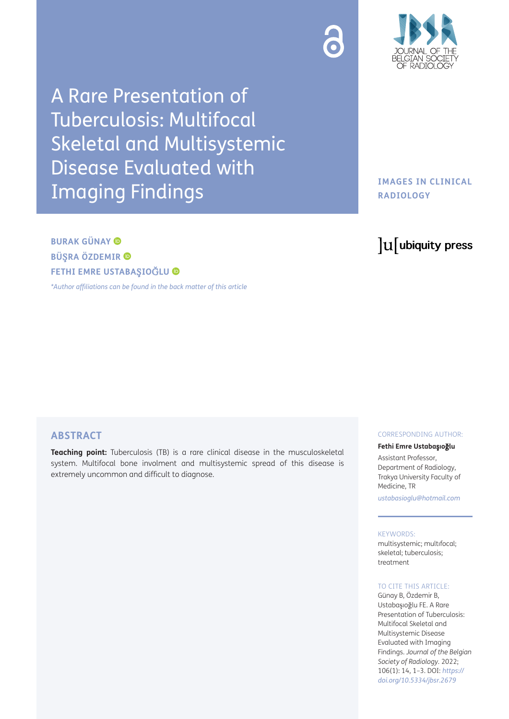

A Rare Presentation of Tuberculosis: Multifocal Skeletal and Multisystemic Disease Evaluated with Imaging Findings

# **BURAK GÜNAY BÜ**Ş**RA ÖZDEMIR FETHI EMRE USTABA**Ş**IO**Ğ**LU**

*[\\*Author affiliations can be found in the back matter of this article](#page-2-0)*

## **IMAGES IN CLINICAL RADIOLOGY**

# lu ubiquity press

## **ABSTRACT**

**Teaching point:** Tuberculosis (TB) is a rare clinical disease in the musculoskeletal system. Multifocal bone involment and multisystemic spread of this disease is extremely uncommon and difficult to diagnose.

#### CORRESPONDING AUTHOR:

#### **Fethi Emre Ustaba**ş**ıo**ğ**lu**

Assistant Professor, Department of Radiology, Trakya University Faculty of Medicine, TR

*[ustabasioglu@hotmail.com](mailto:ustabasioglu@hotmail.com)*

#### KEYWORDS:

multisystemic; multıfocal; skeletal; tuberculosis; treatment

#### TO CITE THIS ARTICLE:

Günay B, Özdemir B, Ustabaşıoğlu FE. A Rare Presentation of Tuberculosis: Multifocal Skeletal and Multisystemic Disease Evaluated with Imaging Findings. *Journal of the Belgian Society of Radiology.* 2022; 106(1): 14, 1–3. DOI: *[https://](https://doi.org/10.5334/jbsr.2679) [doi.org/10.5334/jbsr.2679](https://doi.org/10.5334/jbsr.2679)*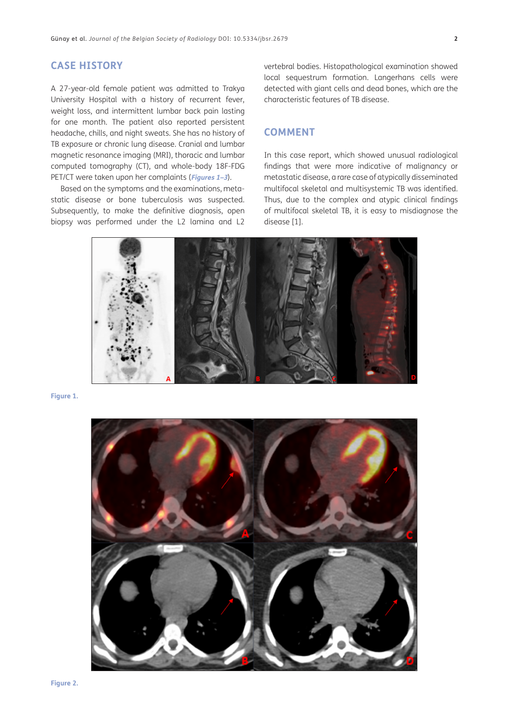#### **CASE HISTORY**

A 27-year-old female patient was admitted to Trakya University Hospital with a history of recurrent fever, weight loss, and intermittent lumbar back pain lasting for one month. The patient also reported persistent headache, chills, and night sweats. She has no history of TB exposure or chronic lung disease. Cranial and lumbar magnetic resonance imaging (MRI), thoracic and lumbar computed tomography (CT), and whole-body 18F-FDG PET/CT were taken upon her complaints (**[Figures 1](#page-1-0)[–3](#page-2-1)**).

Based on the symptoms and the examinations, metastatic disease or bone tuberculosis was suspected. Subsequently, to make the definitive diagnosis, open biopsy was performed under the L2 lamina and L2 vertebral bodies. Histopathological examination showed local sequestrum formation. Langerhans cells were detected with giant cells and dead bones, which are the characteristic features of TB disease.

#### **COMMENT**

In this case report, which showed unusual radiological findings that were more indicative of malignancy or metastatic disease, a rare case of atypically disseminated multifocal skeletal and multisystemic TB was identified. Thus, due to the complex and atypic clinical findings of multifocal skeletal TB, it is easy to misdiagnose the disease [\[1](#page-2-2)].



<span id="page-1-0"></span>**Figure 1.**